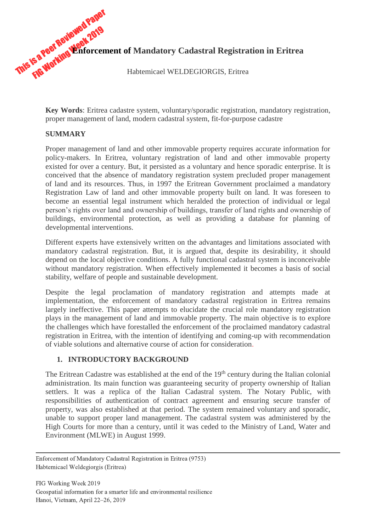

**Key Words**: Eritrea cadastre system, voluntary/sporadic registration, mandatory registration, proper management of land, modern cadastral system, fit-for-purpose cadastre

# **SUMMARY**

Proper management of land and other immovable property requires accurate information for policy-makers. In Eritrea, voluntary registration of land and other immovable property existed for over a century. But, it persisted as a voluntary and hence sporadic enterprise. It is conceived that the absence of mandatory registration system precluded proper management of land and its resources. Thus, in 1997 the Eritrean Government proclaimed a mandatory Registration Law of land and other immovable property built on land. It was foreseen to become an essential legal instrument which heralded the protection of individual or legal person's rights over land and ownership of buildings, transfer of land rights and ownership of buildings, environmental protection, as well as providing a database for planning of developmental interventions.

Different experts have extensively written on the advantages and limitations associated with mandatory cadastral registration. But, it is argued that, despite its desirability, it should depend on the local objective conditions. A fully functional cadastral system is inconceivable without mandatory registration. When effectively implemented it becomes a basis of social stability, welfare of people and sustainable development.

Despite the legal proclamation of mandatory registration and attempts made at implementation, the enforcement of mandatory cadastral registration in Eritrea remains largely ineffective. This paper attempts to elucidate the crucial role mandatory registration plays in the management of land and immovable property. The main objective is to explore the challenges which have forestalled the enforcement of the proclaimed mandatory cadastral registration in Eritrea, with the intention of identifying and coming-up with recommendation of viable solutions and alternative course of action for consideration.

## **1. INTRODUCTORY BACKGROUND**

The Eritrean Cadastre was established at the end of the 19<sup>th</sup> century during the Italian colonial administration. Its main function was guaranteeing security of property ownership of Italian settlers. It was a replica of the Italian Cadastral system. The Notary Public, with responsibilities of authentication of contract agreement and ensuring secure transfer of property, was also established at that period. The system remained voluntary and sporadic, unable to support proper land management. The cadastral system was administered by the High Courts for more than a century, until it was ceded to the Ministry of Land, Water and Environment (MLWE) in August 1999.

FIG Working Week 2019 Geospatial information for a smarter life and environmental resilience Hanoi, Vietnam, April 22–26, 2019

Enforcement of Mandatory Cadastral Registration in Eritrea (9753) Habtemicael Weldegiorgis (Eritrea)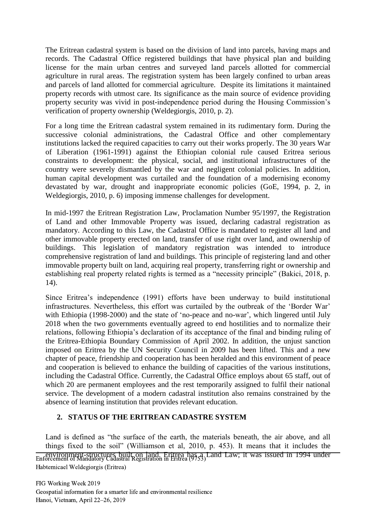The Eritrean cadastral system is based on the division of land into parcels, having maps and records. The Cadastral Office registered buildings that have physical plan and building license for the main urban centres and surveyed land parcels allotted for commercial agriculture in rural areas. The registration system has been largely confined to urban areas and parcels of land allotted for commercial agriculture. Despite its limitations it maintained property records with utmost care. Its significance as the main source of evidence providing property security was vivid in post-independence period during the Housing Commission's verification of property ownership (Weldegiorgis, 2010, p. 2).

For a long time the Eritrean cadastral system remained in its rudimentary form. During the successive colonial administrations, the Cadastral Office and other complementary institutions lacked the required capacities to carry out their works properly. The 30 years War of Liberation (1961-1991) against the Ethiopian colonial rule caused Eritrea serious constraints to development: the physical, social, and institutional infrastructures of the country were severely dismantled by the war and negligent colonial policies. In addition, human capital development was curtailed and the foundation of a modernising economy devastated by war, drought and inappropriate economic policies (GoE, 1994, p. 2, in Weldegiorgis, 2010, p. 6) imposing immense challenges for development.

In mid-1997 the Eritrean Registration Law, Proclamation Number 95/1997, the Registration of Land and other Immovable Property was issued, declaring cadastral registration as mandatory. According to this Law, the Cadastral Office is mandated to register all land and other immovable property erected on land, transfer of use right over land, and ownership of buildings. This legislation of mandatory registration was intended to introduce comprehensive registration of land and buildings. This principle of registering land and other immovable property built on land, acquiring real property, transferring right or ownership and establishing real property related rights is termed as a "necessity principle" (Bakici, 2018, p. 14).

Since Eritrea's independence (1991) efforts have been underway to build institutional infrastructures. Nevertheless, this effort was curtailed by the outbreak of the 'Border War' with Ethiopia (1998-2000) and the state of 'no-peace and no-war', which lingered until July 2018 when the two governments eventually agreed to end hostilities and to normalize their relations, following Ethiopia's declaration of its acceptance of the final and binding ruling of the Eritrea-Ethiopia Boundary Commission of April 2002. In addition, the unjust sanction imposed on Eritrea by the UN Security Council in 2009 has been lifted. This and a new chapter of peace, friendship and cooperation has been heralded and this environment of peace and cooperation is believed to enhance the building of capacities of the various institutions, including the Cadastral Office. Currently, the Cadastral Office employs about 65 staff, out of which 20 are permanent employees and the rest temporarily assigned to fulfil their national service. The development of a modern cadastral institution also remains constrained by the absence of learning institution that provides relevant education.

# **2. STATUS OF THE ERITREAN CADASTRE SYSTEM**

Land is defined as "the surface of the earth, the materials beneath, the air above, and all things fixed to the soil" (Williamson et al, 2010, p. 453). It means that it includes the environment-structures built on land. Eritrea has a Land Law; it was issued in 1994 under Enforcement of Mandatory Cadastral Registration in Eritrea (9753) Habtemicael Weldegiorgis (Eritrea)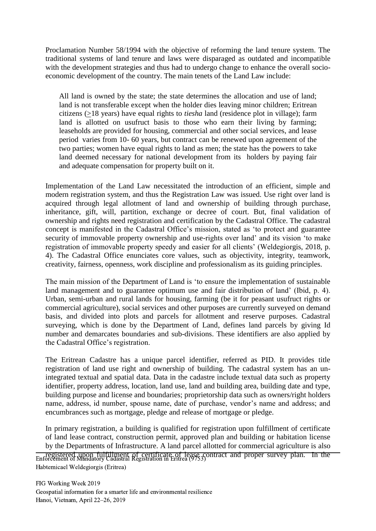Proclamation Number 58/1994 with the objective of reforming the land tenure system. The traditional systems of land tenure and laws were disparaged as outdated and incompatible with the development strategies and thus had to undergo change to enhance the overall socioeconomic development of the country. The main tenets of the Land Law include:

All land is owned by the state; the state determines the allocation and use of land; land is not transferable except when the holder dies leaving minor children; Eritrean citizens (>18 years) have equal rights to *tiesha* land (residence plot in village); farm land is allotted on usufruct basis to those who earn their living by farming; leaseholds are provided for housing, commercial and other social services, and lease period varies from 10- 60 years, but contract can be renewed upon agreement of the two parties; women have equal rights to land as men; the state has the powers to take land deemed necessary for national development from its holders by paying fair and adequate compensation for property built on it.

Implementation of the Land Law necessitated the introduction of an efficient, simple and modern registration system, and thus the Registration Law was issued. Use right over land is acquired through legal allotment of land and ownership of building through purchase, inheritance, gift, will, partition, exchange or decree of court. But, final validation of ownership and rights need registration and certification by the Cadastral Office. The cadastral concept is manifested in the Cadastral Office's mission, stated as 'to protect and guarantee security of immovable property ownership and use-rights over land' and its vision 'to make registration of immovable property speedy and easier for all clients' (Weldegiorgis, 2018, p. 4). The Cadastral Office enunciates core values, such as objectivity, integrity, teamwork, creativity, fairness, openness, work discipline and professionalism as its guiding principles.

The main mission of the Department of Land is 'to ensure the implementation of sustainable land management and to guarantee optimum use and fair distribution of land' (Ibid, p. 4). Urban, semi-urban and rural lands for housing, farming (be it for peasant usufruct rights or commercial agriculture), social services and other purposes are currently surveyed on demand basis, and divided into plots and parcels for allotment and reserve purposes. Cadastral surveying, which is done by the Department of Land, defines land parcels by giving Id number and demarcates boundaries and sub-divisions. These identifiers are also applied by the Cadastral Office's registration.

The Eritrean Cadastre has a unique parcel identifier, referred as PID. It provides title registration of land use right and ownership of building. The cadastral system has an unintegrated textual and spatial data. Data in the cadastre include textual data such as property identifier, property address, location, land use, land and building area, building date and type, building purpose and license and boundaries; proprietorship data such as owners/right holders name, address, id number, spouse name, date of purchase, vendor's name and address; and encumbrances such as mortgage, pledge and release of mortgage or pledge.

In primary registration, a building is qualified for registration upon fulfillment of certificate of land lease contract, construction permit, approved plan and building or habitation license by the Departments of Infrastructure. A land parcel allotted for commercial agriculture is also

registered upon fulfillment of certificate of lease contract and proper survey plan. In the Enforcement of Mandatory Cadastral Registration in Eritrea (9753) Habtemicael Weldegiorgis (Eritrea)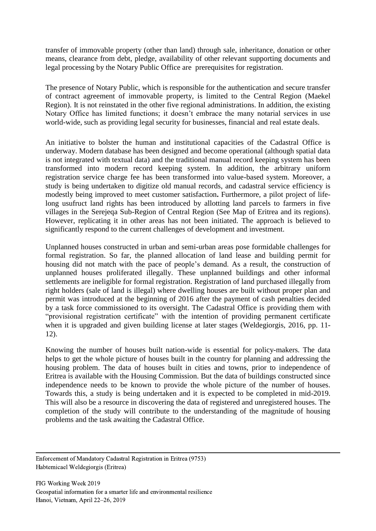transfer of immovable property (other than land) through sale, inheritance, donation or other means, clearance from debt, pledge, availability of other relevant supporting documents and legal processing by the Notary Public Office are prerequisites for registration.

The presence of Notary Public, which is responsible for the authentication and secure transfer of contract agreement of immovable property, is limited to the Central Region (Maekel Region). It is not reinstated in the other five regional administrations. In addition, the existing Notary Office has limited functions; it doesn't embrace the many notarial services in use world-wide, such as providing legal security for businesses, financial and real estate deals.

An initiative to bolster the human and institutional capacities of the Cadastral Office is underway. Modern database has been designed and become operational (although spatial data is not integrated with textual data) and the traditional manual record keeping system has been transformed into modern record keeping system. In addition, the arbitrary uniform registration service charge fee has been transformed into value-based system. Moreover, a study is being undertaken to digitize old manual records, and cadastral service efficiency is modestly being improved to meet customer satisfaction**.** Furthermore, a pilot project of lifelong usufruct land rights has been introduced by allotting land parcels to farmers in five villages in the Serejeqa Sub-Region of Central Region (See Map of Eritrea and its regions). However, replicating it in other areas has not been initiated. The approach is believed to significantly respond to the current challenges of development and investment.

Unplanned houses constructed in urban and semi-urban areas pose formidable challenges for formal registration. So far, the planned allocation of land lease and building permit for housing did not match with the pace of people's demand. As a result, the construction of unplanned houses proliferated illegally. These unplanned buildings and other informal settlements are ineligible for formal registration. Registration of land purchased illegally from right holders (sale of land is illegal) where dwelling houses are built without proper plan and permit was introduced at the beginning of 2016 after the payment of cash penalties decided by a task force commissioned to its oversight. The Cadastral Office is providing them with "provisional registration certificate" with the intention of providing permanent certificate when it is upgraded and given building license at later stages (Weldegiorgis, 2016, pp. 11- 12).

Knowing the number of houses built nation-wide is essential for policy-makers. The data helps to get the whole picture of houses built in the country for planning and addressing the housing problem. The data of houses built in cities and towns, prior to independence of Eritrea is available with the Housing Commission. But the data of buildings constructed since independence needs to be known to provide the whole picture of the number of houses. Towards this, a study is being undertaken and it is expected to be completed in mid-2019. This will also be a resource in discovering the data of registered and unregistered houses. The completion of the study will contribute to the understanding of the magnitude of housing problems and the task awaiting the Cadastral Office.

Enforcement of Mandatory Cadastral Registration in Eritrea (9753) Habtemicael Weldegiorgis (Eritrea)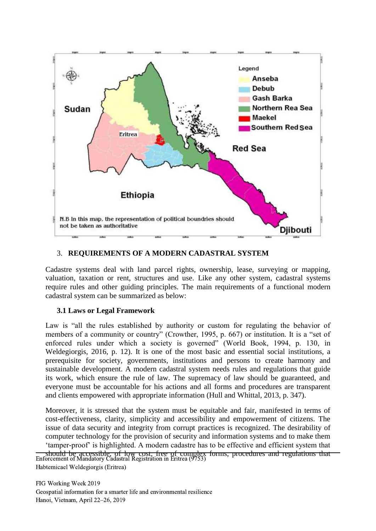

## 3. **REQUIREMENTS OF A MODERN CADASTRAL SYSTEM**

Cadastre systems deal with land parcel rights, ownership, lease, surveying or mapping, valuation, taxation or rent, structures and use. Like any other system, cadastral systems require rules and other guiding principles. The main requirements of a functional modern cadastral system can be summarized as below:

## **3.1 Laws or Legal Framework**

Law is "all the rules established by authority or custom for regulating the behavior of members of a community or country" (Crowther, 1995, p. 667) or institution. It is a "set of enforced rules under which a society is governed" (World Book, 1994, p. 130, in Weldegiorgis, 2016, p. 12). It is one of the most basic and essential social institutions, a prerequisite for society, governments, institutions and persons to create harmony and sustainable development. A modern cadastral system needs rules and regulations that guide its work, which ensure the rule of law. The supremacy of law should be guaranteed, and everyone must be accountable for his actions and all forms and procedures are transparent and clients empowered with appropriate information (Hull and Whittal, 2013, p. 347).

Moreover, it is stressed that the system must be equitable and fair, manifested in terms of cost-effectiveness, clarity, simplicity and accessibility and empowerment of citizens. The issue of data security and integrity from corrupt practices is recognized. The desirability of computer technology for the provision of security and information systems and to make them 'tamper-proof' is highlighted. A modern cadastre has to be effective and efficient system that

should be accessible, of low cost, free of complex forms, procedures and regulations that Enforcement of Mandatory Cadastral Registration in Eritrea (9753) Habtemicael Weldegiorgis (Eritrea)

FIG Working Week 2019 Geospatial information for a smarter life and environmental resilience Hanoi, Vietnam, April 22–26, 2019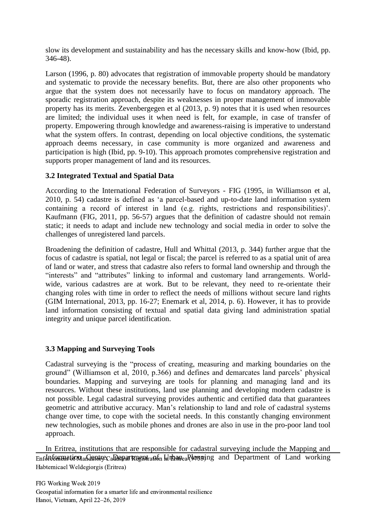slow its development and sustainability and has the necessary skills and know-how (Ibid, pp. 346-48).

Larson (1996, p. 80) advocates that registration of immovable property should be mandatory and systematic to provide the necessary benefits. But, there are also other proponents who argue that the system does not necessarily have to focus on mandatory approach. The sporadic registration approach, despite its weaknesses in proper management of immovable property has its merits. Zevenbergegen et al (2013, p. 9) notes that it is used when resources are limited; the individual uses it when need is felt, for example, in case of transfer of property. Empowering through knowledge and awareness-raising is imperative to understand what the system offers. In contrast, depending on local objective conditions, the systematic approach deems necessary, in case community is more organized and awareness and participation is high (Ibid, pp. 9-10). This approach promotes comprehensive registration and supports proper management of land and its resources.

# **3.2 Integrated Textual and Spatial Data**

According to the International Federation of Surveyors - FIG (1995, in Williamson et al, 2010, p. 54) cadastre is defined as 'a parcel-based and up-to-date land information system containing a record of interest in land (e.g. rights, restrictions and responsibilities)'. Kaufmann (FIG, 2011, pp. 56-57) argues that the definition of cadastre should not remain static; it needs to adapt and include new technology and social media in order to solve the challenges of unregistered land parcels.

Broadening the definition of cadastre, Hull and Whittal (2013, p. 344) further argue that the focus of cadastre is spatial, not legal or fiscal; the parcel is referred to as a spatial unit of area of land or water, and stress that cadastre also refers to formal land ownership and through the "interests" and "attributes" linking to informal and customary land arrangements. Worldwide, various cadastres are at work. But to be relevant, they need to re-orientate their changing roles with time in order to reflect the needs of millions without secure land rights (GIM International, 2013, pp. 16-27; Enemark et al, 2014, p. 6). However, it has to provide land information consisting of textual and spatial data giving land administration spatial integrity and unique parcel identification.

## **3.3 Mapping and Surveying Tools**

Cadastral surveying is the "process of creating, measuring and marking boundaries on the ground" (Williamson et al, 2010, p.366) and defines and demarcates land parcels' physical boundaries. Mapping and surveying are tools for planning and managing land and its resources. Without these institutions, land use planning and developing modern cadastre is not possible. Legal cadastral surveying provides authentic and certified data that guarantees geometric and attributive accuracy. Man's relationship to land and role of cadastral systems change over time, to cope with the societal needs. In this constantly changing environment new technologies, such as mobile phones and drones are also in use in the pro-poor land tool approach.

In Eritrea, institutions that are responsible for cadastral surveying include the Mapping and  $\overline{\text{Enfdt}$  and  $\Omega$  and  $\Omega$  and  $\Omega$  and  $\Omega$  and  $\Omega$  and  $\Omega$  and  $\Omega$  and  $\Omega$  and  $\Omega$  and working Habtemicael Weldegiorgis (Eritrea)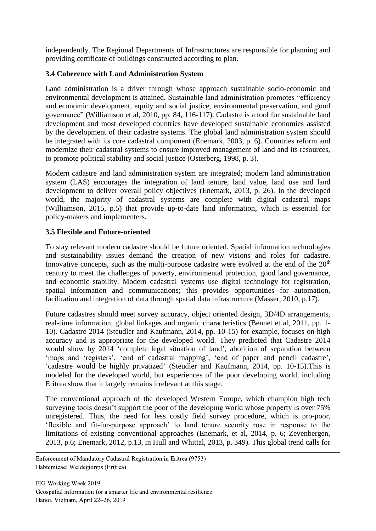independently. The Regional Departments of Infrastructures are responsible for planning and providing certificate of buildings constructed according to plan.

## **3.4 Coherence with Land Administration System**

Land administration is a driver through whose approach sustainable socio-economic and environmental development is attained. Sustainable land administration promotes "efficiency and economic development, equity and social justice, environmental preservation, and good governance" (Williamson et al, 2010, pp. 84, 116-117). Cadastre is a tool for sustainable land development and most developed countries have developed sustainable economies assisted by the development of their cadastre systems. The global land administration system should be integrated with its core cadastral component (Enemark, 2003, p. 6). Countries reform and modernize their cadastral systems to ensure improved management of land and its resources, to promote political stability and social justice (Osterberg, 1998, p. 3).

Modern cadastre and land administration system are integrated; modern land administration system (LAS) encourages the integration of land tenure, land value, land use and land development to deliver overall policy objectives (Enemark, 2013, p. 26). In the developed world, the majority of cadastral systems are complete with digital cadastral maps (Williamson, 2015, p.5) that provide up-to-date land information, which is essential for policy-makers and implementers.

## **3.5 Flexible and Future-oriented**

To stay relevant modern cadastre should be future oriented. Spatial information technologies and sustainability issues demand the creation of new visions and roles for cadastre. Innovative concepts, such as the multi-purpose cadastre were evolved at the end of the  $20<sup>th</sup>$ century to meet the challenges of poverty, environmental protection, good land governance, and economic stability. Modern cadastral systems use digital technology for registration, spatial information and communications; this provides opportunities for automation, facilitation and integration of data through spatial data infrastructure (Masser, 2010, p.17).

Future cadastres should meet survey accuracy, object oriented design, 3D/4D arrangements, real-time information, global linkages and organic characteristics (Bennet et al, 2011, pp. 1- 10). Cadastre 2014 (Steudler and Kaufmann, 2014, pp. 10-15) for example, focuses on high accuracy and is appropriate for the developed world. They predicted that Cadastre 2014 would show by 2014 'complete legal situation of land', abolition of separation between 'maps and 'registers', 'end of cadastral mapping', 'end of paper and pencil cadastre', 'cadastre would be highly privatized' (Steudler and Kaufmann, 2014, pp. 10-15).This is modeled for the developed world, but experiences of the poor developing world, including Eritrea show that it largely remains irrelevant at this stage.

The conventional approach of the developed Western Europe, which champion high tech surveying tools doesn't support the poor of the developing world whose property is over 75% unregistered. Thus, the need for less costly field survey procedure, which is pro-poor, 'flexible and fit-for-purpose approach' to land tenure security rose in response to the limitations of existing conventional approaches (Enemark, et al, 2014, p. 6; Zevenbergen, 2013, p.6; Enemark, 2012, p.13, in Hull and Whittal, 2013, p. 349). This global trend calls for

Enforcement of Mandatory Cadastral Registration in Eritrea (9753) Habtemicael Weldegiorgis (Eritrea)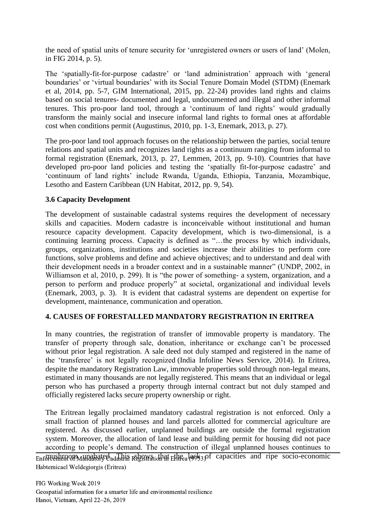the need of spatial units of tenure security for 'unregistered owners or users of land' (Molen, in FIG 2014, p. 5).

The 'spatially-fit-for-purpose cadastre' or 'land administration' approach with 'general boundaries' or 'virtual boundaries' with its Social Tenure Domain Model (STDM) (Enemark et al, 2014, pp. 5-7, GIM International, 2015, pp. 22-24) provides land rights and claims based on social tenures- documented and legal, undocumented and illegal and other informal tenures. This pro-poor land tool, through a 'continuum of land rights' would gradually transform the mainly social and insecure informal land rights to formal ones at affordable cost when conditions permit (Augustinus, 2010, pp. 1-3, Enemark, 2013, p. 27).

The pro-poor land tool approach focuses on the relationship between the parties, social tenure relations and spatial units and recognizes land rights as a continuum ranging from informal to formal registration (Enemark, 2013, p. 27, Lemmen, 2013, pp. 9-10). Countries that have developed pro-poor land policies and testing the 'spatially fit-for-purpose cadastre' and 'continuum of land rights' include Rwanda, Uganda, Ethiopia, Tanzania, Mozambique, Lesotho and Eastern Caribbean (UN Habitat, 2012, pp. 9, 54).

## **3.6 Capacity Development**

The development of sustainable cadastral systems requires the development of necessary skills and capacities. Modern cadastre is inconceivable without institutional and human resource capacity development. Capacity development, which is two-dimensional, is a continuing learning process. Capacity is defined as "…the process by which individuals, groups, organizations, institutions and societies increase their abilities to perform core functions, solve problems and define and achieve objectives; and to understand and deal with their development needs in a broader context and in a sustainable manner" (UNDP, 2002, in Williamson et al, 2010, p. 299). It is "the power of something- a system, organization, and a person to perform and produce properly" at societal, organizational and individual levels (Enemark, 2003, p. 3). It is evident that cadastral systems are dependent on expertise for development, maintenance, communication and operation.

## **4. CAUSES OF FORESTALLED MANDATORY REGISTRATION IN ERITREA**

In many countries, the registration of transfer of immovable property is mandatory. The transfer of property through sale, donation, inheritance or exchange can't be processed without prior legal registration. A sale deed not duly stamped and registered in the name of the 'transferee' is not legally recognized (India Infoline News Service, 2014). In Eritrea, despite the mandatory Registration Law, immovable properties sold through non-legal means, estimated in many thousands are not legally registered. This means that an individual or legal person who has purchased a property through internal contract but not duly stamped and officially registered lacks secure property ownership or right.

The Eritrean legally proclaimed mandatory cadastral registration is not enforced. Only a small fraction of planned houses and land parcels allotted for commercial agriculture are registered. As discussed earlier, unplanned buildings are outside the formal registration system. Moreover, the allocation of land lease and building permit for housing did not pace according to people's demand. The construction of illegal unplanned houses continues to

 $m$ <sub>Enforcement mush and ripe</sub> socio-economic Enforcement of Mandatory Capacities and ripe socio-economic Habtemicael Weldegiorgis (Eritrea)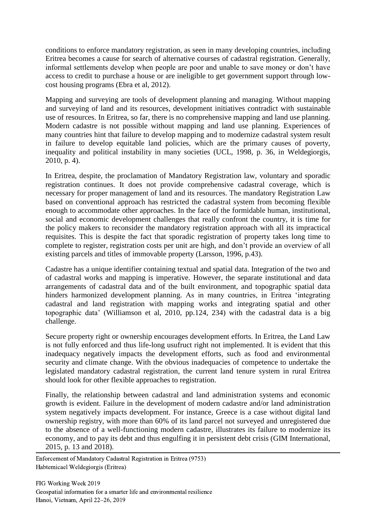conditions to enforce mandatory registration, as seen in many developing countries, including Eritrea becomes a cause for search of alternative courses of cadastral registration. Generally, informal settlements develop when people are poor and unable to save money or don't have access to credit to purchase a house or are ineligible to get government support through lowcost housing programs (Ebra et al, 2012).

Mapping and surveying are tools of development planning and managing. Without mapping and surveying of land and its resources, development initiatives contradict with sustainable use of resources. In Eritrea, so far, there is no comprehensive mapping and land use planning. Modern cadastre is not possible without mapping and land use planning. Experiences of many countries hint that failure to develop mapping and to modernize cadastral system result in failure to develop equitable land policies, which are the primary causes of poverty, inequality and political instability in many societies (UCL, 1998, p. 36, in Weldegiorgis, 2010, p. 4).

In Eritrea, despite, the proclamation of Mandatory Registration law, voluntary and sporadic registration continues. It does not provide comprehensive cadastral coverage, which is necessary for proper management of land and its resources. The mandatory Registration Law based on conventional approach has restricted the cadastral system from becoming flexible enough to accommodate other approaches. In the face of the formidable human, institutional, social and economic development challenges that really confront the country, it is time for the policy makers to reconsider the mandatory registration approach with all its impractical requisites. This is despite the fact that sporadic registration of property takes long time to complete to register, registration costs per unit are high, and don't provide an overview of all existing parcels and titles of immovable property (Larsson, 1996, p.43).

Cadastre has a unique identifier containing textual and spatial data. Integration of the two and of cadastral works and mapping is imperative. However, the separate institutional and data arrangements of cadastral data and of the built environment, and topographic spatial data hinders harmonized development planning. As in many countries, in Eritrea 'integrating cadastral and land registration with mapping works and integrating spatial and other topographic data' (Williamson et al, 2010, pp.124, 234) with the cadastral data is a big challenge.

Secure property right or ownership encourages development efforts. In Eritrea, the Land Law is not fully enforced and thus life-long usufruct right not implemented. It is evident that this inadequacy negatively impacts the development efforts, such as food and environmental security and climate change. With the obvious inadequacies of competence to undertake the legislated mandatory cadastral registration, the current land tenure system in rural Eritrea should look for other flexible approaches to registration.

Finally, the relationship between cadastral and land administration systems and economic growth is evident. Failure in the development of modern cadastre and/or land administration system negatively impacts development. For instance, Greece is a case without digital land ownership registry, with more than 60% of its land parcel not surveyed and unregistered due to the absence of a well-functioning modern cadastre, illustrates its failure to modernize its economy, and to pay its debt and thus engulfing it in persistent debt crisis (GIM International, 2015, p. 13 and 2018).

Enforcement of Mandatory Cadastral Registration in Eritrea (9753) Habtemicael Weldegiorgis (Eritrea)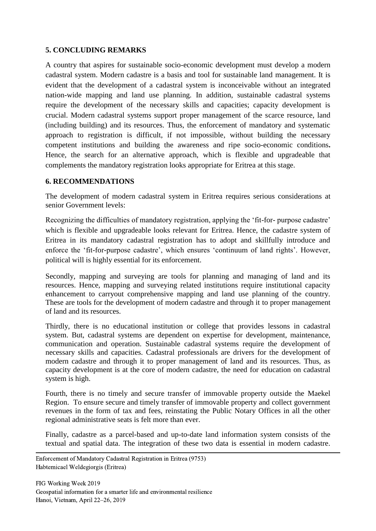## **5. CONCLUDING REMARKS**

A country that aspires for sustainable socio-economic development must develop a modern cadastral system. Modern cadastre is a basis and tool for sustainable land management. It is evident that the development of a cadastral system is inconceivable without an integrated nation-wide mapping and land use planning. In addition, sustainable cadastral systems require the development of the necessary skills and capacities; capacity development is crucial. Modern cadastral systems support proper management of the scarce resource, land (including building) and its resources. Thus, the enforcement of mandatory and systematic approach to registration is difficult, if not impossible, without building the necessary competent institutions and building the awareness and ripe socio-economic conditions**.**  Hence, the search for an alternative approach, which is flexible and upgradeable that complements the mandatory registration looks appropriate for Eritrea at this stage.

#### **6. RECOMMENDATIONS**

The development of modern cadastral system in Eritrea requires serious considerations at senior Government levels:

Recognizing the difficulties of mandatory registration, applying the 'fit-for- purpose cadastre' which is flexible and upgradeable looks relevant for Eritrea. Hence, the cadastre system of Eritrea in its mandatory cadastral registration has to adopt and skillfully introduce and enforce the 'fit-for-purpose cadastre', which ensures 'continuum of land rights'. However, political will is highly essential for its enforcement.

Secondly, mapping and surveying are tools for planning and managing of land and its resources. Hence, mapping and surveying related institutions require institutional capacity enhancement to carryout comprehensive mapping and land use planning of the country. These are tools for the development of modern cadastre and through it to proper management of land and its resources.

Thirdly, there is no educational institution or college that provides lessons in cadastral system. But, cadastral systems are dependent on expertise for development, maintenance, communication and operation. Sustainable cadastral systems require the development of necessary skills and capacities. Cadastral professionals are drivers for the development of modern cadastre and through it to proper management of land and its resources. Thus, as capacity development is at the core of modern cadastre, the need for education on cadastral system is high.

Fourth, there is no timely and secure transfer of immovable property outside the Maekel Region. To ensure secure and timely transfer of immovable property and collect government revenues in the form of tax and fees, reinstating the Public Notary Offices in all the other regional administrative seats is felt more than ever.

Finally, cadastre as a parcel-based and up-to-date land information system consists of the textual and spatial data. The integration of these two data is essential in modern cadastre.

Enforcement of Mandatory Cadastral Registration in Eritrea (9753) Habtemicael Weldegiorgis (Eritrea)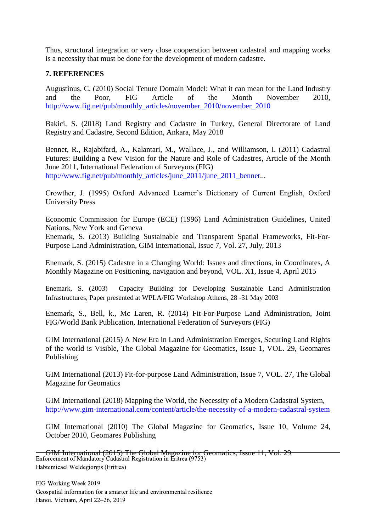Thus, structural integration or very close cooperation between cadastral and mapping works is a necessity that must be done for the development of modern cadastre.

#### **7. REFERENCES**

Augustinus, C. (2010) Social Tenure Domain Model: What it can mean for the Land Industry and the Poor, FIG Article of the Month November 2010, [http://www.fig.net/pub/monthly\\_articles/november\\_2010/november\\_2010](http://www.fig.net/pub/monthly_articles/november_2010/november_2010)

Bakici, S. (2018) Land Registry and Cadastre in Turkey, General Directorate of Land Registry and Cadastre, Second Edition, Ankara, May 2018

Bennet, R., Rajabifard, A., Kalantari, M., Wallace, J., and Williamson, I. (2011) Cadastral Futures: Building a New Vision for the Nature and Role of Cadastres, Article of the Month June 2011, International Federation of Surveyors (FIG) [http://www.fig.net/pub/monthly\\_articles/june\\_2011/june\\_2011\\_bennet.](http://www.fig.net/pub/monthly_articles/june_2011/june_2011_bennet)..

Crowther, J. (1995) Oxford Advanced Learner's Dictionary of Current English, Oxford University Press

Economic Commission for Europe (ECE) (1996) Land Administration Guidelines, United Nations, New York and Geneva

Enemark, S. (2013) Building Sustainable and Transparent Spatial Frameworks, Fit-For-Purpose Land Administration, GIM International, Issue 7, Vol. 27, July, 2013

Enemark, S. (2015) Cadastre in a Changing World: Issues and directions, in Coordinates, A Monthly Magazine on Positioning, navigation and beyond, VOL. X1, Issue 4, April 2015

Enemark, S. (2003) Capacity Building for Developing Sustainable Land Administration Infrastructures, Paper presented at WPLA/FIG Workshop Athens, 28 -31 May 2003

Enemark, S., Bell, k., Mc Laren, R. (2014) Fit-For-Purpose Land Administration, Joint FIG/World Bank Publication, International Federation of Surveyors (FIG)

GIM International (2015) A New Era in Land Administration Emerges, Securing Land Rights of the world is Visible, The Global Magazine for Geomatics, Issue 1, VOL. 29, Geomares Publishing

GIM International (2013) Fit-for-purpose Land Administration, Issue 7, VOL. 27, The Global Magazine for Geomatics

GIM International (2018) Mapping the World, the Necessity of a Modern Cadastral System, <http://www.gim-international.com/content/article/the-necessity-of-a-modern-cadastral-system>

GIM International (2010) The Global Magazine for Geomatics, Issue 10, Volume 24, October 2010, Geomares Publishing

GIM International (2015) The Global Magazine for Geomatics, Issue 11, Vol. 29 Enforcement of Mandatory Cadastral Registration in Eritrea (9753) Habtemicael Weldegiorgis (Eritrea)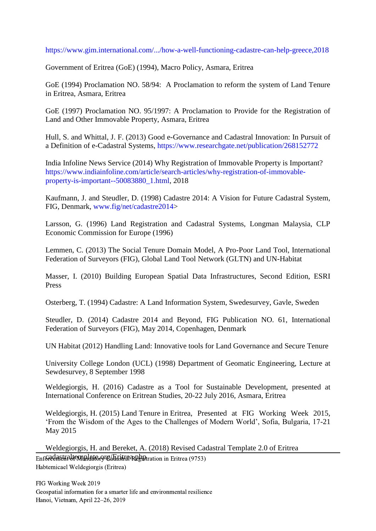#### <https://www.gim.international.com/.../how-a-well-functioning-cadastre-can-help-greece,2018>

Government of Eritrea (GoE) (1994), Macro Policy, Asmara, Eritrea

GoE (1994) Proclamation NO. 58/94: A Proclamation to reform the system of Land Tenure in Eritrea, Asmara, Eritrea

GoE (1997) Proclamation NO. 95/1997: A Proclamation to Provide for the Registration of Land and Other Immovable Property, Asmara, Eritrea

Hull, S. and Whittal, J. F. (2013) Good e-Governance and Cadastral Innovation: In Pursuit of a Definition of e-Cadastral Systems,<https://www.researchgate.net/publication/268152772>

India Infoline News Service (2014) Why Registration of Immovable Property is Important? [https://www.indiainfoline.com/article/search-articles/why-registration-of-immovable](https://www.indiainfoline.com/article/search-articles/why-registration-of-immovable-property-is-important--50083880_1.html)[property-is-important--50083880\\_1.html,](https://www.indiainfoline.com/article/search-articles/why-registration-of-immovable-property-is-important--50083880_1.html) 2018

Kaufmann, J. and Steudler, D. (1998) Cadastre 2014: A Vision for Future Cadastral System, FIG, Denmark, [www.fig/net/cadastre2014>](http://www.fig/net/cadastre2014)

Larsson, G. (1996) Land Registration and Cadastral Systems, Longman Malaysia, CLP Economic Commission for Europe (1996)

Lemmen, C. (2013) The Social Tenure Domain Model, A Pro-Poor Land Tool, International Federation of Surveyors (FIG), Global Land Tool Network (GLTN) and UN-Habitat

Masser, I. (2010) Building European Spatial Data Infrastructures, Second Edition, ESRI Press

Osterberg, T. (1994) Cadastre: A Land Information System, Swedesurvey, Gavle, Sweden

Steudler, D. (2014) Cadastre 2014 and Beyond, FIG Publication NO. 61, International Federation of Surveyors (FIG), May 2014, Copenhagen, Denmark

UN Habitat (2012) Handling Land: Innovative tools for Land Governance and Secure Tenure

University College London (UCL) (1998) Department of Geomatic Engineering, Lecture at Sewdesurvey, 8 September 1998

Weldegiorgis, H. (2016) Cadastre as a Tool for Sustainable Development, presented at International Conference on Eritrean Studies, 20-22 July 2016, Asmara, Eritrea

Weldegiorgis, H. (2015) Land Tenure in Eritrea, Presented at FIG Working Week 2015, 'From the Wisdom of the Ages to the Challenges of Modern World', Sofia, Bulgaria, 17-21 May 2015

Weldegiorgis, H. and Bereket, A. (2018) Revised Cadastral Template 2.0 of Eritrea Enfordent ration Matter of Calastral Registration in Eritrea (9753) Habtemicael Weldegiorgis (Eritrea)